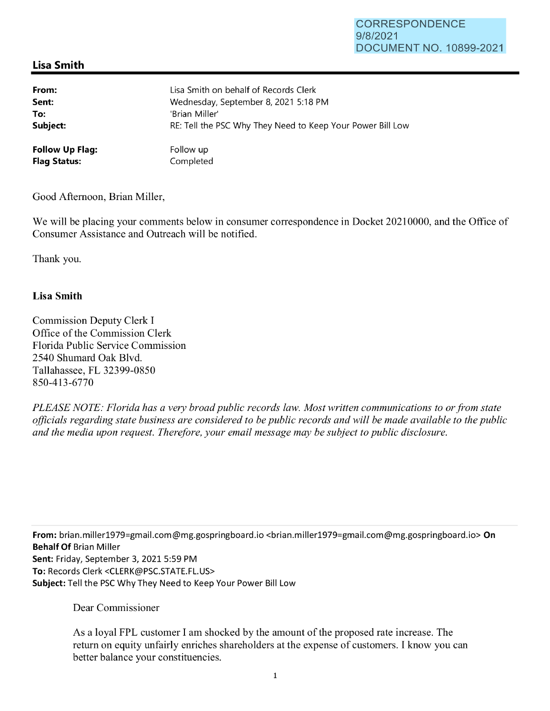## **Lisa Smith**

| From:                  | Lisa Smith on behalf of Records Clerk                      |
|------------------------|------------------------------------------------------------|
| Sent:                  | Wednesday, September 8, 2021 5:18 PM                       |
| To:                    | 'Brian Miller'                                             |
| Subject:               | RE: Tell the PSC Why They Need to Keep Your Power Bill Low |
| <b>Follow Up Flag:</b> | Follow up                                                  |
| <b>Flag Status:</b>    | Completed                                                  |

Good Afternoon, Brian Miller,

We will be placing your comments below in consumer correspondence in Docket 20210000, and the Office of Consumer Assistance and Outreach will be notified.

Thank you.

## **Lisa Smith**

Commission Deputy Clerk I Office of the Commission Clerk Florida Public Service Commission 2540 Shumard Oak Blvd. Tallahassee, FL 32399-0850 850-413-6770

*PLEASE NOTE: Florida has a very broad public records law. Most written communications to or from state officials regarding state business are considered to be public records and will be made available to the public and the media upon request. Therefore, your email message may be subject to public disclosure.* 

**From:** brian.miller1979=gmail.com@mg.gospringboard.io <brian.miller1979=gmail.com@mg.gospringboard.io> **On Behalf Of** Brian Miller **Sent:** Friday, September 3, 2021 5:59 PM **To:** Records Clerk <CLERK@PSC.STATE.FL.US> **Subject:** Tell the PSC Why They Need to Keep Your Power Bill Low

Dear Commissioner

As a loyal FPL customer I am shocked by the amount of the proposed rate increase. The return on equity unfairly enriches shareholders at the expense of customers. I know you can better balance your constituencies.